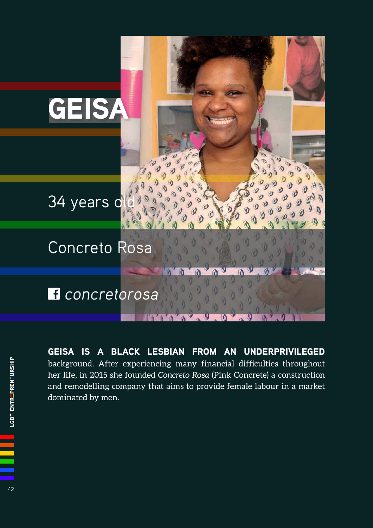

GEISA IS A BLACK LESBIAN FROM AN UNDERPRIVILEGED background. After experiencing many financial difficulties throughout her life, in 2015 she founded *Concreto Rosa* (Pink Concrete) a construction and remodelling company that aims to provide female labour in a market dominated by men.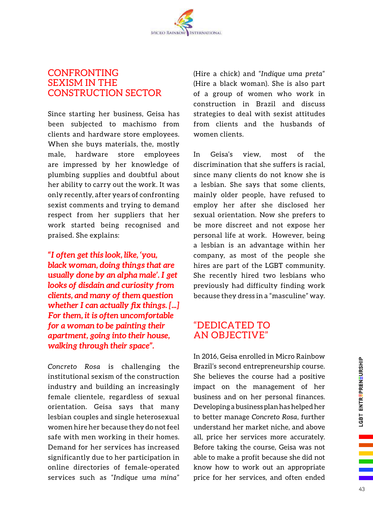## CONFRONTING SEXISM IN THE CONSTRUCTION SECTOR

Since starting her business, Geisa has been subjected to machismo from clients and hardware store employees. When she buys materials, the, mostly male, hardware store employees are impressed by her knowledge of plumbing supplies and doubtful about her ability to carry out the work. It was only recently, after years of confronting sexist comments and trying to demand respect from her suppliers that her work started being recognised and praised. She explains:

*"I often get this look, like, 'you, black woman, doing things that are usually done by an alpha male'. I get looks of disdain and curiosity from clients, and many of them question whether I can actually fix things. [...] For them, it is often uncomfortable for a woman to be painting their apartment, going into their house, walking through their space".* 

*Concreto Rosa* is challenging the institutional sexism of the construction industry and building an increasingly female clientele, regardless of sexual orientation. Geisa says that many lesbian couples and single heterosexual women hire her because they do not feel safe with men working in their homes. Demand for her services has increased significantly due to her participation in online directories of female-operated services such as "*Indique uma mina*" (Hire a chick) and "*Indique uma preta*" (Hire a black woman). She is also part of a group of women who work in construction in Brazil and discuss strategies to deal with sexist attitudes from clients and the husbands of women clients.

In Geisa's view, most of the discrimination that she suffers is racial, since many clients do not know she is a lesbian. She says that some clients, mainly older people, have refused to employ her after she disclosed her sexual orientation. Now she prefers to be more discreet and not expose her personal life at work. However, being a lesbian is an advantage within her company, as most of the people she hires are part of the LGBT community. She recently hired two lesbians who previously had difficulty finding work because they dress in a "masculine" way.

## "DEDICATED TO AN OBJECTIVE"

In 2016, Geisa enrolled in Micro Rainbow Brazil's second entrepreneurship course. She believes the course had a positive impact on the management of her business and on her personal finances. Developing a business plan has helped her to better manage *Concreto Rosa*, further understand her market niche, and above all, price her services more accurately. Before taking the course, Geisa was not able to make a profit because she did not know how to work out an appropriate price for her services, and often ended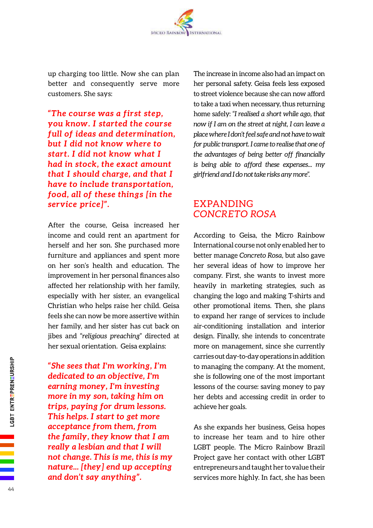

up charging too little. Now she can plan better and consequently serve more customers. She says:

*"The course was a first step, you know. I started the course full of ideas and determination, but I did not know where to start. I did not know what I had in stock, the exact amount that I should charge, and that I have to include transportation, food, all of these things [in the service price]".*

After the course, Geisa increased her income and could rent an apartment for herself and her son. She purchased more furniture and appliances and spent more on her son's health and education. The improvement in her personal finances also affected her relationship with her family, especially with her sister, an evangelical Christian who helps raise her child. Geisa feels she can now be more assertive within her family, and her sister has cut back on jibes and "*religious preaching*" directed at her sexual orientation. Geisa explains:

*"She sees that I'm working, I'm dedicated to an objective, I'm earning money, I'm investing more in my son, taking him on trips, paying for drum lessons. This helps. I start to get more acceptance from them, from the family, they know that I am really a lesbian and that I will not change. This is me, this is my nature... [they] end up accepting and don't say anything".*

The increase in income also had an impact on her personal safety. Geisa feels less exposed to street violence because she can now afford to take a taxi when necessary, thus returning home safely: "*I realised a short while ago, that now if I am on the street at night, I can leave a place where I don't feel safe and not have to wait for public transport. I came to realise that one of*  the advantages of being better off financially *is being able to afford these expenses... my girlfriend and I do not take risks any more*".

## EXPANDING *CONCRETO ROSA*

According to Geisa, the Micro Rainbow International course not only enabled her to better manage *Concreto Rosa*, but also gave her several ideas of how to improve her company. First, she wants to invest more heavily in marketing strategies, such as changing the logo and making T-shirts and other promotional items. Then, she plans to expand her range of services to include air-conditioning installation and interior design. Finally, she intends to concentrate more on management, since she currently carries out day-to-day operations in addition to managing the company. At the moment, she is following one of the most important lessons of the course: saving money to pay her debts and accessing credit in order to achieve her goals.

As she expands her business, Geisa hopes to increase her team and to hire other LGBT people. The Micro Rainbow Brazil Project gave her contact with other LGBT entrepreneurs and taught her to value their services more highly. In fact, she has been